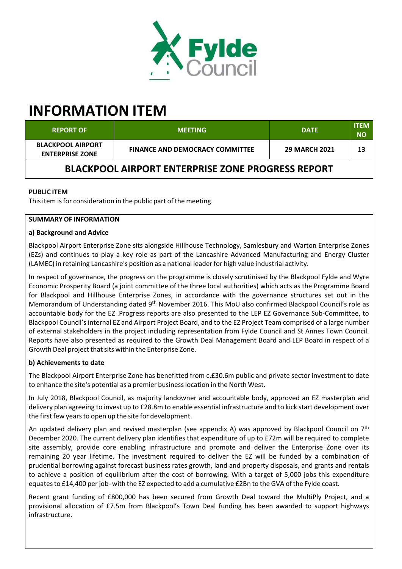

# **INFORMATION ITEM**

| <b>REPORT OF</b>                                         | <b>MEETING</b>                         | <b>DATE</b>          | <b>ITEM</b><br>NΟ |  |  |
|----------------------------------------------------------|----------------------------------------|----------------------|-------------------|--|--|
| <b>BLACKPOOL AIRPORT</b><br><b>ENTERPRISE ZONE</b>       | <b>FINANCE AND DEMOCRACY COMMITTEE</b> | <b>29 MARCH 2021</b> | 13                |  |  |
| <b>BLACKPOOL AIRPORT ENTERPRISE ZONE PROGRESS REPORT</b> |                                        |                      |                   |  |  |

# **PUBLIC ITEM**

This item is for consideration in the public part of the meeting.

# **SUMMARY OF INFORMATION**

#### **a) Background and Advice**

Blackpool Airport Enterprise Zone sits alongside Hillhouse Technology, Samlesbury and Warton Enterprise Zones (EZs) and continues to play a key role as part of the Lancashire Advanced Manufacturing and Energy Cluster (LAMEC) in retaining Lancashire's position as a national leaderfor high value industrial activity.

In respect of governance, the progress on the programme is closely scrutinised by the Blackpool Fylde and Wyre Economic Prosperity Board (a joint committee of the three local authorities) which acts as the Programme Board for Blackpool and Hillhouse Enterprise Zones, in accordance with the governance structures set out in the Memorandum of Understanding dated 9<sup>th</sup> November 2016. This MoU also confirmed Blackpool Council's role as accountable body for the EZ .Progress reports are also presented to the LEP EZ Governance Sub‐Committee, to Blackpool Council'sinternal EZ and Airport Project Board, and to the EZ Project Team comprised of a large number of external stakeholders in the project including representation from Fylde Council and St Annes Town Council. Reports have also presented as required to the Growth Deal Management Board and LEP Board in respect of a Growth Deal project that sits within the Enterprise Zone.

## **b) Achievements to date**

The Blackpool Airport Enterprise Zone has benefitted from c.£30.6m public and private sector investment to date to enhance the site's potential as a premier businesslocation in the North West.

In July 2018, Blackpool Council, as majority landowner and accountable body, approved an EZ masterplan and delivery plan agreeing to invest up to £28.8m to enable essential infrastructure and to kick start development over the first few years to open up the site for development.

An updated delivery plan and revised masterplan (see appendix A) was approved by Blackpool Council on 7<sup>th</sup> December 2020. The current delivery plan identifies that expenditure of up to £72m will be required to complete site assembly, provide core enabling infrastructure and promote and deliver the Enterprise Zone over its remaining 20 year lifetime. The investment required to deliver the EZ will be funded by a combination of prudential borrowing against forecast business rates growth, land and property disposals, and grants and rentals to achieve a position of equilibrium after the cost of borrowing. With a target of 5,000 jobs this expenditure equates to £14,400 per job- with the EZ expected to add a cumulative £2Bn to the GVA of the Fylde coast.

Recent grant funding of £800,000 has been secured from Growth Deal toward the MultiPly Project, and a provisional allocation of £7.5m from Blackpool's Town Deal funding has been awarded to support highways infrastructure.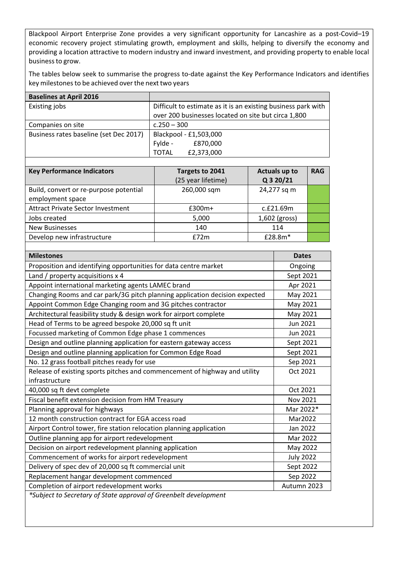Blackpool Airport Enterprise Zone provides a very significant opportunity for Lancashire as a post-Covid–19 economic recovery project stimulating growth, employment and skills, helping to diversify the economy and providing a location attractive to modern industry and inward investment, and providing property to enable local businessto grow.

The tables below seek to summarise the progress to-date against the Key Performance Indicators and identifies key milestones to be achieved over the next two years

| <b>Baselines at April 2016</b>         |                                                               |  |
|----------------------------------------|---------------------------------------------------------------|--|
| Existing jobs                          | Difficult to estimate as it is an existing business park with |  |
|                                        | over 200 businesses located on site but circa 1,800           |  |
| Companies on site                      | $c.250 - 300$                                                 |  |
| Business rates baseline (set Dec 2017) | Blackpool - £1,503,000                                        |  |
|                                        | £870,000<br>Fylde -                                           |  |
|                                        | £2,373,000<br><b>TOTAL</b>                                    |  |

| <b>Key Performance Indicators</b>                          | Targets to 2041<br>(25 year lifetime) | <b>Actuals up to</b><br>Q 3 20/21 | <b>RAG</b> |
|------------------------------------------------------------|---------------------------------------|-----------------------------------|------------|
| Build, convert or re-purpose potential<br>employment space | 260,000 sqm                           | 24,277 sq m                       |            |
| <b>Attract Private Sector Investment</b>                   | £300m+                                | c.f21.69m                         |            |
| Jobs created                                               | 5,000                                 | 1,602 (gross)                     |            |
| <b>New Businesses</b>                                      | 140                                   | 114                               |            |
| Develop new infrastructure                                 | f72m                                  | £28.8m*                           |            |

| <b>Milestones</b>                                                           | <b>Dates</b>     |
|-----------------------------------------------------------------------------|------------------|
| Proposition and identifying opportunities for data centre market            | Ongoing          |
| Land / property acquisitions x 4                                            | Sept 2021        |
| Appoint international marketing agents LAMEC brand                          | Apr 2021         |
| Changing Rooms and car park/3G pitch planning application decision expected | May 2021         |
| Appoint Common Edge Changing room and 3G pitches contractor                 | May 2021         |
| Architectural feasibility study & design work for airport complete          | May 2021         |
| Head of Terms to be agreed bespoke 20,000 sq ft unit                        | Jun 2021         |
| Focussed marketing of Common Edge phase 1 commences                         | Jun 2021         |
| Design and outline planning application for eastern gateway access          | Sept 2021        |
| Design and outline planning application for Common Edge Road                | Sept 2021        |
| No. 12 grass football pitches ready for use                                 | Sep 2021         |
| Release of existing sports pitches and commencement of highway and utility  | Oct 2021         |
| infrastructure                                                              |                  |
| 40,000 sq ft devt complete                                                  | Oct 2021         |
| Fiscal benefit extension decision from HM Treasury                          | Nov 2021         |
| Planning approval for highways                                              | Mar 2022*        |
| 12 month construction contract for EGA access road                          | Mar2022          |
| Airport Control tower, fire station relocation planning application         | Jan 2022         |
| Outline planning app for airport redevelopment                              | Mar 2022         |
| Decision on airport redevelopment planning application                      | May 2022         |
| Commencement of works for airport redevelopment                             | <b>July 2022</b> |
| Delivery of spec dev of 20,000 sq ft commercial unit                        | Sept 2022        |
| Replacement hangar development commenced                                    | Sep 2022         |
| Completion of airport redevelopment works                                   | Autumn 2023      |
| $*cubi$ at to Coeratory of State annoual of Croonholt development           |                  |

*\*Subject to Secretary of State approval of Greenbelt development*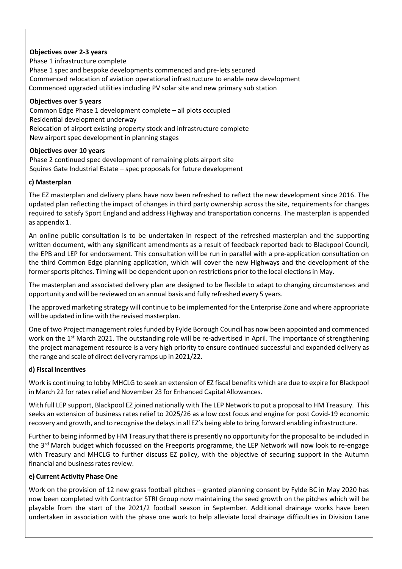## **Objectives over 2‐3 years**

Phase 1 infrastructure complete Phase 1 spec and bespoke developments commenced and pre‐lets secured Commenced relocation of aviation operational infrastructure to enable new development Commenced upgraded utilities including PV solar site and new primary sub station

#### **Objectives over 5 years**

Common Edge Phase 1 development complete – all plots occupied Residential development underway Relocation of airport existing property stock and infrastructure complete New airport spec development in planning stages

#### **Objectives over 10 years**

Phase 2 continued spec development of remaining plots airport site Squires Gate Industrial Estate – spec proposals for future development

#### **c) Masterplan**

The EZ masterplan and delivery plans have now been refreshed to reflect the new development since 2016. The updated plan reflecting the impact of changes in third party ownership across the site, requirements for changes required to satisfy Sport England and address Highway and transportation concerns. The masterplan is appended as appendix 1.

An online public consultation is to be undertaken in respect of the refreshed masterplan and the supporting written document, with any significant amendments as a result of feedback reported back to Blackpool Council, the EPB and LEP for endorsement. This consultation will be run in parallel with a pre‐application consultation on the third Common Edge planning application, which will cover the new Highways and the development of the former sports pitches. Timing will be dependent upon on restrictions prior to the local elections in May.

The masterplan and associated delivery plan are designed to be flexible to adapt to changing circumstances and opportunity and will be reviewed on an annual basis and fully refreshed every 5 years.

The approved marketing strategy will continue to be implemented for the Enterprise Zone and where appropriate will be updated in line with the revised masterplan.

One of two Project management rolesfunded by Fylde Borough Council has now been appointed and commenced work on the 1<sup>st</sup> March 2021. The outstanding role will be re-advertised in April. The importance of strengthening the project management resource is a very high priority to ensure continued successful and expanded delivery as the range and scale of direct delivery ramps up in 2021/22.

## **d) Fiscal Incentives**

Work is continuing to lobby MHCLG to seek an extension of EZ fiscal benefits which are due to expire for Blackpool in March 22 for rates relief and November 23 for Enhanced Capital Allowances.

With full LEP support, Blackpool EZ joined nationally with The LEP Network to put a proposal to HM Treasury. This seeks an extension of business rates relief to 2025/26 as a low cost focus and engine for post Covid‐19 economic recovery and growth, and to recognise the delaysin all EZ's being able to bring forward enabling infrastructure.

Further to being informed by HM Treasury that there is presently no opportunity for the proposal to be included in the 3<sup>rd</sup> March budget which focussed on the Freeports programme, the LEP Network will now look to re-engage with Treasury and MHCLG to further discuss EZ policy, with the objective of securing support in the Autumn financial and business rates review.

## **e) Current Activity Phase One**

Work on the provision of 12 new grass football pitches – granted planning consent by Fylde BC in May 2020 has now been completed with Contractor STRI Group now maintaining the seed growth on the pitches which will be playable from the start of the 2021/2 football season in September. Additional drainage works have been undertaken in association with the phase one work to help alleviate local drainage difficulties in Division Lane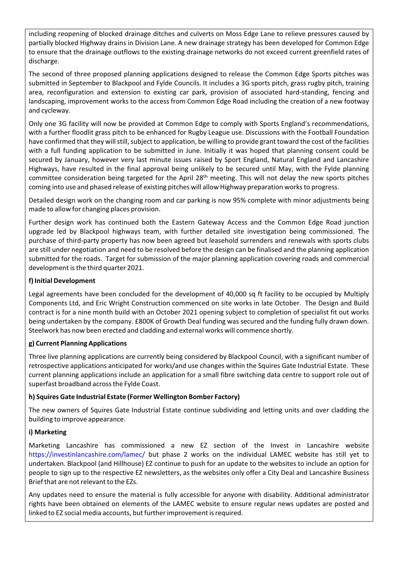including reopening of blocked drainage ditches and culverts on Moss Edge Lane to relieve pressures caused by partially blocked Highway drains in Division Lane. A new drainage strategy has been developed for Common Edge to ensure that the drainage outflows to the existing drainage networks do not exceed current greenfield rates of discharge.

The second of three proposed planning applications designed to release the Common Edge Sports pitches was submitted in September to Blackpool and Fylde Councils. It includes a 3G sports pitch, grass rugby pitch, training area, reconfiguration and extension to existing car park, provision of associated hard‐standing, fencing and landscaping, improvement works to the access from Common Edge Road including the creation of a new footway and cycleway.

Only one 3G facility will now be provided at Common Edge to comply with Sports England's recommendations, with a further floodlit grass pitch to be enhanced for Rugby League use. Discussions with the Football Foundation have confirmed that they will still, subject to application, be willing to provide grant toward the cost of the facilities with a full funding application to be submitted in June. Initially it was hoped that planning consent could be secured by January, however very last minute issues raised by Sport England, Natural England and Lancashire Highways, have resulted in the final approval being unlikely to be secured until May, with the Fylde planning committee consideration being targeted for the April 28<sup>th</sup> meeting. This will not delay the new sports pitches coming into use and phased release of existing pitches will allow Highway preparation worksto progress.

Detailed design work on the changing room and car parking is now 95% complete with minor adjustments being made to allow for changing places provision.

Further design work has continued both the Eastern Gateway Access and the Common Edge Road junction upgrade led by Blackpool highways team, with further detailed site investigation being commissioned. The purchase of third‐party property has now been agreed but leasehold surrenders and renewals with sports clubs are still under negotiation and need to be resolved before the design can be finalised and the planning application submitted for the roads. Target for submission of the major planning application covering roads and commercial development isthe third quarter 2021.

# **f) Initial Development**

Legal agreements have been concluded for the development of 40,000 sq ft facility to be occupied by Multiply Components Ltd, and Eric Wright Construction commenced on site works in late October. The Design and Build contract is for a nine month build with an October 2021 opening subject to completion of specialist fit out works being undertaken by the company. £800K of Growth Deal funding was secured and the funding fully drawn down. Steelwork has now been erected and cladding and external works will commence shortly.

## **g) Current Planning Applications**

Three live planning applications are currently being considered by Blackpool Council, with a significant number of retrospective applications anticipated for works/and use changes within the Squires Gate Industrial Estate. These current planning applications include an application for a small fibre switching data centre to support role out of superfast broadband across the Fylde Coast.

## **h) Squires Gate Industrial Estate (Former Wellington Bomber Factory)**

The new owners of Squires Gate Industrial Estate continue subdividing and letting units and over cladding the building to improve appearance.

## **i) Marketing**

Marketing Lancashire has commissioned a new EZ section of the Invest in Lancashire website https://investinlancashire.com/lamec/ but phase 2 works on the individual LAMEC website has still yet to undertaken. Blackpool (and Hillhouse) EZ continue to push for an update to the websites to include an option for people to sign up to the respective EZ newsletters, as the websites only offer a City Deal and Lancashire Business Brief that are not relevant to the EZs.

Any updates need to ensure the material is fully accessible for anyone with disability. Additional administrator rights have been obtained on elements of the LAMEC website to ensure regular news updates are posted and linked to EZ social media accounts, but further improvement is required.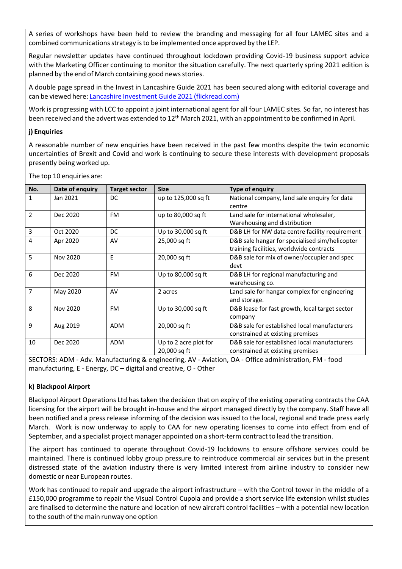A series of workshops have been held to review the branding and messaging for all four LAMEC sites and a combined communicationsstrategy isto be implemented once approved by the LEP.

Regular newsletter updates have continued throughout lockdown providing Covid‐19 business support advice with the Marketing Officer continuing to monitor the situation carefully. The next quarterly spring 2021 edition is planned by the end of March containing good newsstories.

A double page spread in the Invest in Lancashire Guide 2021 has been secured along with editorial coverage and can be viewed here: Lancashire Investment Guide 2021 (flickread.com)

Work is progressing with LCC to appoint a joint international agent for all four LAMEC sites. So far, no interest has been received and the advert was extended to 12<sup>th</sup> March 2021, with an appointment to be confirmed in April.

# **j) Enquiries**

A reasonable number of new enquiries have been received in the past few months despite the twin economic uncertainties of Brexit and Covid and work is continuing to secure these interests with development proposals presently being worked up.

| No.                      | Date of enquiry | <b>Target sector</b> | <b>Size</b>           | Type of enquiry                                |
|--------------------------|-----------------|----------------------|-----------------------|------------------------------------------------|
| 1                        | Jan 2021        | DC.                  | up to 125,000 sq ft   | National company, land sale enquiry for data   |
|                          |                 |                      |                       | centre                                         |
| $\overline{\phantom{a}}$ | Dec 2020        | <b>FM</b>            | up to 80,000 sq ft    | Land sale for international wholesaler,        |
|                          |                 |                      |                       | Warehousing and distribution                   |
| $\overline{3}$           | Oct 2020        | DC.                  | Up to 30,000 sq ft    | D&B LH for NW data centre facility requirement |
| $\overline{4}$           | Apr 2020        | AV                   | 25,000 sq ft          | D&B sale hangar for specialised sim/helicopter |
|                          |                 |                      |                       | training facilities, worldwide contracts       |
| 5                        | Nov 2020        | F                    | 20,000 sq ft          | D&B sale for mix of owner/occupier and spec    |
|                          |                 |                      |                       | devt                                           |
| 6                        | Dec 2020        | <b>FM</b>            | Up to 80,000 sq ft    | D&B LH for regional manufacturing and          |
|                          |                 |                      |                       | warehousing co.                                |
| $\overline{7}$           | May 2020        | AV                   | 2 acres               | Land sale for hangar complex for engineering   |
|                          |                 |                      |                       | and storage.                                   |
| 8                        | Nov 2020        | <b>FM</b>            | Up to 30,000 sq ft    | D&B lease for fast growth, local target sector |
|                          |                 |                      |                       | company                                        |
| 9                        | Aug 2019        | <b>ADM</b>           | 20,000 sq ft          | D&B sale for established local manufacturers   |
|                          |                 |                      |                       | constrained at existing premises               |
| 10                       | Dec 2020        | <b>ADM</b>           | Up to 2 acre plot for | D&B sale for established local manufacturers   |
|                          |                 |                      | 20,000 sq ft          | constrained at existing premises               |

The top 10 enquiries are:

SECTORS: ADM ‐ Adv. Manufacturing & engineering, AV ‐ Aviation, OA ‐ Office administration, FM ‐ food manufacturing, E ‐ Energy, DC – digital and creative, O ‐ Other

## **k) Blackpool Airport**

Blackpool Airport Operations Ltd has taken the decision that on expiry of the existing operating contracts the CAA licensing for the airport will be brought in‐house and the airport managed directly by the company. Staff have all been notified and a press release informing of the decision was issued to the local, regional and trade press early March. Work is now underway to apply to CAA for new operating licenses to come into effect from end of September, and a specialist project manager appointed on a short-term contract to lead the transition.

The airport has continued to operate throughout Covid‐19 lockdowns to ensure offshore services could be maintained. There is continued lobby group pressure to reintroduce commercial air services but in the present distressed state of the aviation industry there is very limited interest from airline industry to consider new domestic or near European routes.

Work has continued to repair and upgrade the airport infrastructure – with the Control tower in the middle of a £150,000 programme to repair the Visual Control Cupola and provide a short service life extension whilst studies are finalised to determine the nature and location of new aircraft control facilities – with a potential new location to the south of the main runway one option